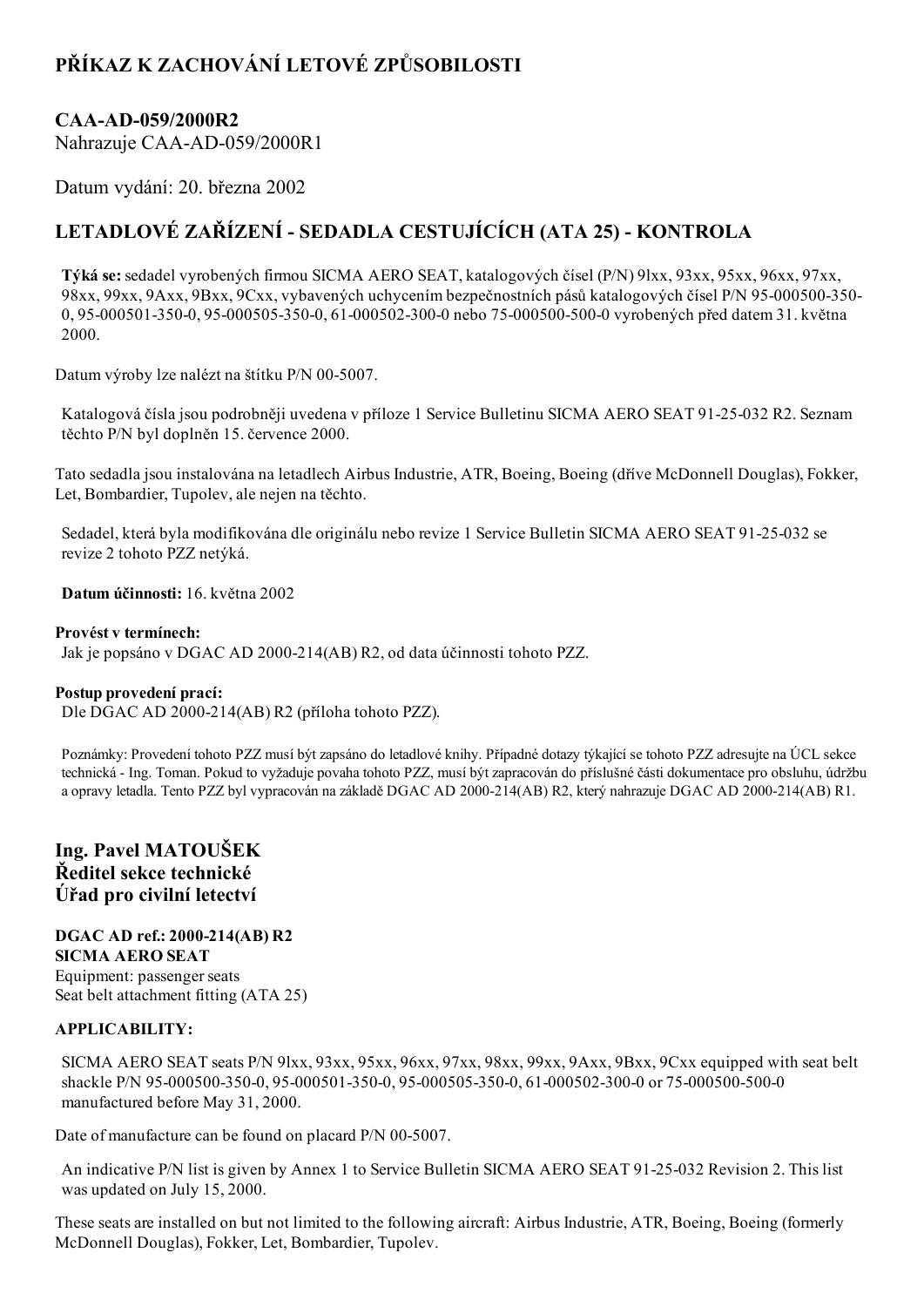# PŘÍKAZ K ZACHOVÁNÍ LETOVÉ ZPŮSOBILOSTI

# CAA-AD-059/2000R2

Nahrazuje CAA-AD-059/2000R1

Datum vydání: 20. března 2002

# LETADLOVÉ ZAŘÍZENÍ - SEDADLA CESTUJÍCÍCH (ATA 25) - KONTROLA

Týká se: sedadel vyrobených firmou SICMA AERO SEAT, katalogových čísel (P/N) 9lxx, 93xx, 95xx, 96xx, 97xx, 98xx, 99xx, 9Axx, 9Bxx, 9Cxx, vybavených uchycením bezpečnostních pásů katalogových čísel P/N 95-000500-350-0, 95-000501-350-0, 95-000505-350-0, 61-000502-300-0 nebo 75-000500-500-0 vyrobených před datem 31. května 2000.

Datum výroby lze nalézt na štítku P/N 00-5007.

Katalogová čísla jsou podrobněji uvedena v příloze 1 Service Bulletinu SICMA AERO SEAT 91-25-032 R2. Seznam těchto P/N byl doplněn 15. července 2000.

Tato sedadla jsou instalována na letadlech Airbus Industrie, ATR, Boeing, Boeing (dříve McDonnell Douglas), Fokker, Let, Bombardier, Tupolev, ale nejen na těchto.

Sedadel, která byla modifikována dle originálu nebo revize 1 Service Bulletin SICMA AERO SEAT 91-25-032 se revize 2 tohoto PZZ netýká.

Datum účinnosti: 16. května 2002

#### Provést v termínech:

Jak je popsáno v DGAC AD 2000214(AB) R2, od data účinnosti tohoto PZZ.

#### Postup provedení prací:

Dle DGAC AD 2000214(AB) R2 (příloha tohoto PZZ).

Poznámky: Provedení tohoto PZZ musí být zapsáno do letadlové knihy. Případné dotazy týkající se tohoto PZZ adresujte na ÚCL sekce technická Ing. Toman. Pokud to vyžaduje povaha tohoto PZZ, musí být zapracován do příslušné části dokumentace pro obsluhu, údržbu a opravy letadla. Tento PZZ byl vypracován na základě DGAC AD 2000-214(AB) R2, který nahrazuje DGAC AD 2000-214(AB) R1.

# Ing. Pavel MATOUŠEK Ředitel sekce technické Úřad pro civilní letectví

#### DGAC AD ref.: 2000-214(AB) R2 SICMA AERO SEAT

Equipment: passenger seats Seat belt attachment fitting (ATA 25)

## APPLICABILITY:

SICMA AERO SEAT seats P/N 9lxx, 93xx, 95xx, 96xx, 97xx, 98xx, 99xx, 9Axx, 9Bxx, 9Cxx equipped with seat belt shackle P/N 95-000500-350-0, 95-000501-350-0, 95-000505-350-0, 61-000502-300-0 or 75-000500-500-0 manufactured before May 31, 2000.

Date of manufacture can be found on placard P/N 00-5007.

An indicative P/N list is given by Annex 1 to Service Bulletin SICMA AERO SEAT 91-25-032 Revision 2. This list was updated on July 15, 2000.

These seats are installed on but not limited to the following aircraft: Airbus Industrie, ATR, Boeing, Boeing (formerly McDonnell Douglas), Fokker, Let, Bombardier, Tupolev.